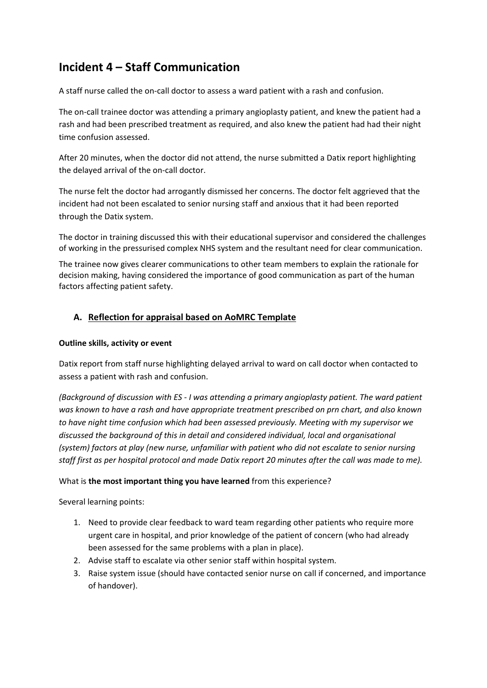# **Incident 4 – Staff Communication**

A staff nurse called the on-call doctor to assess a ward patient with a rash and confusion.

The on-call trainee doctor was attending a primary angioplasty patient, and knew the patient had a rash and had been prescribed treatment as required, and also knew the patient had had their night time confusion assessed.

After 20 minutes, when the doctor did not attend, the nurse submitted a Datix report highlighting the delayed arrival of the on-call doctor.

The nurse felt the doctor had arrogantly dismissed her concerns. The doctor felt aggrieved that the incident had not been escalated to senior nursing staff and anxious that it had been reported through the Datix system.

The doctor in training discussed this with their educational supervisor and considered the challenges of working in the pressurised complex NHS system and the resultant need for clear communication.

The trainee now gives clearer communications to other team members to explain the rationale for decision making, having considered the importance of good communication as part of the human factors affecting patient safety.

# **A. Reflection for appraisal based on AoMRC Template**

## **Outline skills, activity or event**

Datix report from staff nurse highlighting delayed arrival to ward on call doctor when contacted to assess a patient with rash and confusion.

*(Background of discussion with ES - I was attending a primary angioplasty patient. The ward patient was known to have a rash and have appropriate treatment prescribed on prn chart, and also known to have night time confusion which had been assessed previously. Meeting with my supervisor we discussed the background of this in detail and considered individual, local and organisational (system) factors at play (new nurse, unfamiliar with patient who did not escalate to senior nursing staff first as per hospital protocol and made Datix report 20 minutes after the call was made to me).*

#### What is **the most important thing you have learned** from this experience?

Several learning points:

- 1. Need to provide clear feedback to ward team regarding other patients who require more urgent care in hospital, and prior knowledge of the patient of concern (who had already been assessed for the same problems with a plan in place).
- 2. Advise staff to escalate via other senior staff within hospital system.
- 3. Raise system issue (should have contacted senior nurse on call if concerned, and importance of handover).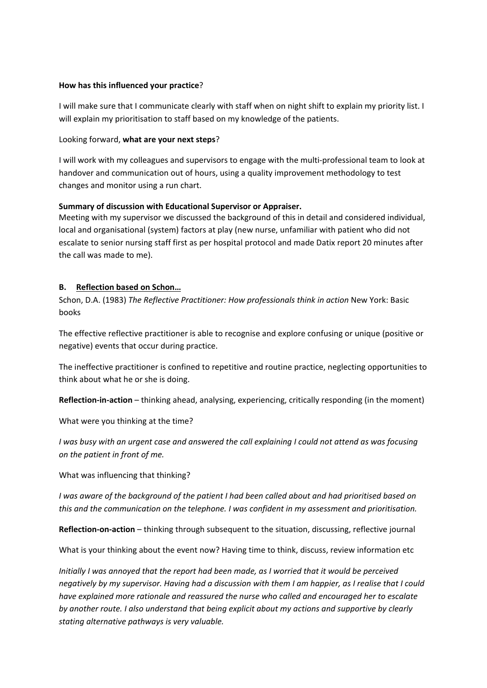### **How has this influenced your practice**?

I will make sure that I communicate clearly with staff when on night shift to explain my priority list. I will explain my prioritisation to staff based on my knowledge of the patients.

## Looking forward, **what are your next steps**?

I will work with my colleagues and supervisors to engage with the multi-professional team to look at handover and communication out of hours, using a quality improvement methodology to test changes and monitor using a run chart.

## **Summary of discussion with Educational Supervisor or Appraiser.**

Meeting with my supervisor we discussed the background of this in detail and considered individual, local and organisational (system) factors at play (new nurse, unfamiliar with patient who did not escalate to senior nursing staff first as per hospital protocol and made Datix report 20 minutes after the call was made to me).

## **B. Reflection based on Schon…**

Schon, D.A. (1983) *The Reflective Practitioner: How professionals think in action* New York: Basic books

The effective reflective practitioner is able to recognise and explore confusing or unique (positive or negative) events that occur during practice.

The ineffective practitioner is confined to repetitive and routine practice, neglecting opportunities to think about what he or she is doing.

**Reflection-in-action** – thinking ahead, analysing, experiencing, critically responding (in the moment)

What were you thinking at the time?

*I was busy with an urgent case and answered the call explaining I could not attend as was focusing on the patient in front of me.*

What was influencing that thinking?

*I was aware of the background of the patient I had been called about and had prioritised based on this and the communication on the telephone. I was confident in my assessment and prioritisation.*

**Reflection-on-action** – thinking through subsequent to the situation, discussing, reflective journal

What is your thinking about the event now? Having time to think, discuss, review information etc

*Initially I was annoyed that the report had been made, as I worried that it would be perceived negatively by my supervisor. Having had a discussion with them I am happier, as I realise that I could have explained more rationale and reassured the nurse who called and encouraged her to escalate by another route. I also understand that being explicit about my actions and supportive by clearly stating alternative pathways is very valuable.*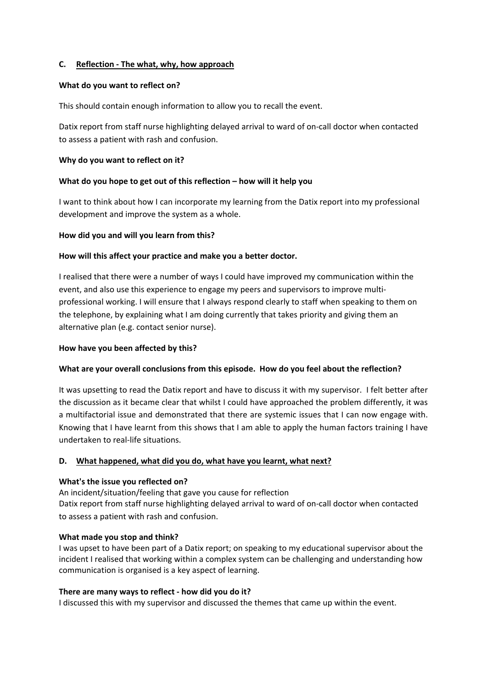## **C. Reflection - The what, why, how approach**

#### **What do you want to reflect on?**

This should contain enough information to allow you to recall the event.

Datix report from staff nurse highlighting delayed arrival to ward of on-call doctor when contacted to assess a patient with rash and confusion.

## **Why do you want to reflect on it?**

## **What do you hope to get out of this reflection – how will it help you**

I want to think about how I can incorporate my learning from the Datix report into my professional development and improve the system as a whole.

## **How did you and will you learn from this?**

## **How will this affect your practice and make you a better doctor.**

I realised that there were a number of ways I could have improved my communication within the event, and also use this experience to engage my peers and supervisors to improve multiprofessional working. I will ensure that I always respond clearly to staff when speaking to them on the telephone, by explaining what I am doing currently that takes priority and giving them an alternative plan (e.g. contact senior nurse).

## **How have you been affected by this?**

# **What are your overall conclusions from this episode. How do you feel about the reflection?**

It was upsetting to read the Datix report and have to discuss it with my supervisor. I felt better after the discussion as it became clear that whilst I could have approached the problem differently, it was a multifactorial issue and demonstrated that there are systemic issues that I can now engage with. Knowing that I have learnt from this shows that I am able to apply the human factors training I have undertaken to real-life situations.

#### **D. What happened, what did you do, what have you learnt, what next?**

#### **What's the issue you reflected on?**

An incident/situation/feeling that gave you cause for reflection Datix report from staff nurse highlighting delayed arrival to ward of on-call doctor when contacted to assess a patient with rash and confusion.

#### **What made you stop and think?**

I was upset to have been part of a Datix report; on speaking to my educational supervisor about the incident I realised that working within a complex system can be challenging and understanding how communication is organised is a key aspect of learning.

#### **There are many ways to reflect - how did you do it?**

I discussed this with my supervisor and discussed the themes that came up within the event.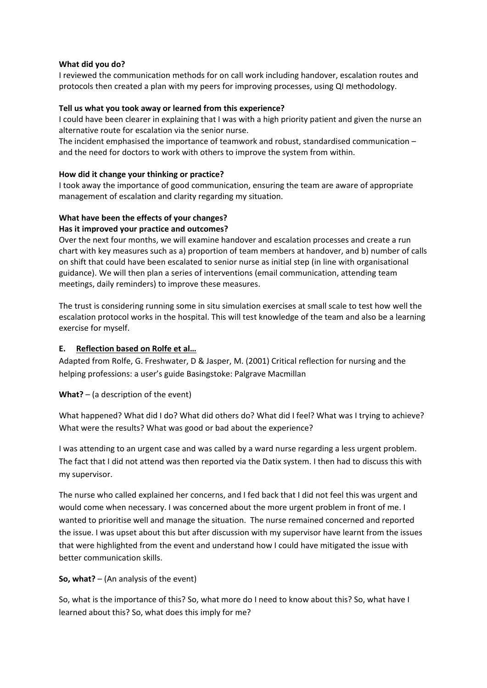## **What did you do?**

I reviewed the communication methods for on call work including handover, escalation routes and protocols then created a plan with my peers for improving processes, using QI methodology.

## **Tell us what you took away or learned from this experience?**

I could have been clearer in explaining that I was with a high priority patient and given the nurse an alternative route for escalation via the senior nurse.

The incident emphasised the importance of teamwork and robust, standardised communication – and the need for doctors to work with others to improve the system from within.

## **How did it change your thinking or practice?**

I took away the importance of good communication, ensuring the team are aware of appropriate management of escalation and clarity regarding my situation.

#### **What have been the effects of your changes? Has it improved your practice and outcomes?**

Over the next four months, we will examine handover and escalation processes and create a run chart with key measures such as a) proportion of team members at handover, and b) number of calls on shift that could have been escalated to senior nurse as initial step (in line with organisational guidance). We will then plan a series of interventions (email communication, attending team meetings, daily reminders) to improve these measures.

The trust is considering running some in situ simulation exercises at small scale to test how well the escalation protocol works in the hospital. This will test knowledge of the team and also be a learning exercise for myself.

# **E. Reflection based on Rolfe et al…**

Adapted from Rolfe, G. Freshwater, D & Jasper, M. (2001) Critical reflection for nursing and the helping professions: a user's guide Basingstoke: Palgrave Macmillan

# **What?** – (a description of the event)

What happened? What did I do? What did others do? What did I feel? What was I trying to achieve? What were the results? What was good or bad about the experience?

I was attending to an urgent case and was called by a ward nurse regarding a less urgent problem. The fact that I did not attend was then reported via the Datix system. I then had to discuss this with my supervisor.

The nurse who called explained her concerns, and I fed back that I did not feel this was urgent and would come when necessary. I was concerned about the more urgent problem in front of me. I wanted to prioritise well and manage the situation. The nurse remained concerned and reported the issue. I was upset about this but after discussion with my supervisor have learnt from the issues that were highlighted from the event and understand how I could have mitigated the issue with better communication skills.

# **So, what?** – (An analysis of the event)

So, what is the importance of this? So, what more do I need to know about this? So, what have I learned about this? So, what does this imply for me?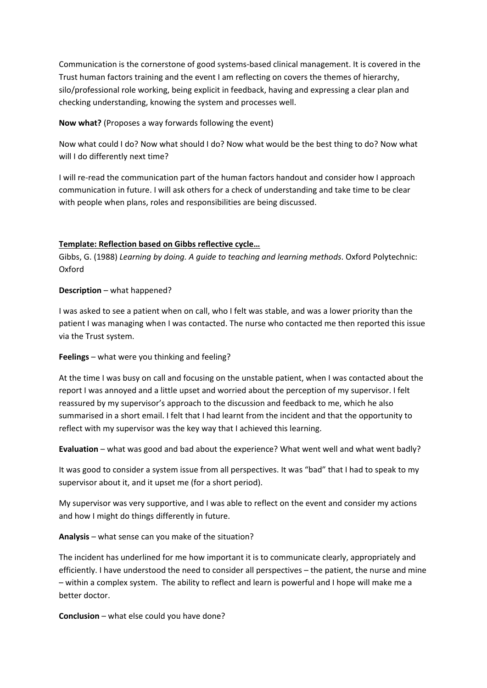Communication is the cornerstone of good systems-based clinical management. It is covered in the Trust human factors training and the event I am reflecting on covers the themes of hierarchy, silo/professional role working, being explicit in feedback, having and expressing a clear plan and checking understanding, knowing the system and processes well.

**Now what?** (Proposes a way forwards following the event)

Now what could I do? Now what should I do? Now what would be the best thing to do? Now what will I do differently next time?

I will re-read the communication part of the human factors handout and consider how I approach communication in future. I will ask others for a check of understanding and take time to be clear with people when plans, roles and responsibilities are being discussed.

# **Template: Reflection based on Gibbs reflective cycle…**

Gibbs, G. (1988) *Learning by doing. A guide to teaching and learning methods*. Oxford Polytechnic: Oxford

## **Description** – what happened?

I was asked to see a patient when on call, who I felt was stable, and was a lower priority than the patient I was managing when I was contacted. The nurse who contacted me then reported this issue via the Trust system.

# **Feelings** – what were you thinking and feeling?

At the time I was busy on call and focusing on the unstable patient, when I was contacted about the report I was annoyed and a little upset and worried about the perception of my supervisor. I felt reassured by my supervisor's approach to the discussion and feedback to me, which he also summarised in a short email. I felt that I had learnt from the incident and that the opportunity to reflect with my supervisor was the key way that I achieved this learning.

**Evaluation** – what was good and bad about the experience? What went well and what went badly?

It was good to consider a system issue from all perspectives. It was "bad" that I had to speak to my supervisor about it, and it upset me (for a short period).

My supervisor was very supportive, and I was able to reflect on the event and consider my actions and how I might do things differently in future.

**Analysis** – what sense can you make of the situation?

The incident has underlined for me how important it is to communicate clearly, appropriately and efficiently. I have understood the need to consider all perspectives – the patient, the nurse and mine – within a complex system. The ability to reflect and learn is powerful and I hope will make me a better doctor.

**Conclusion** – what else could you have done?